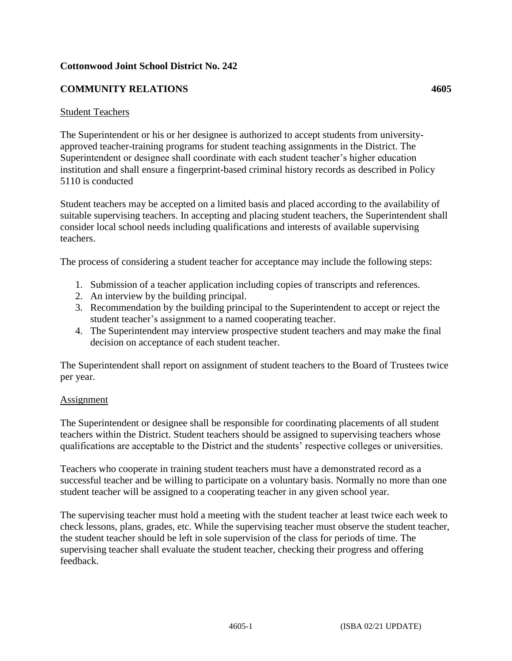## **Cottonwood Joint School District No. 242**

## **COMMUNITY RELATIONS 4605**

## Student Teachers

The Superintendent or his or her designee is authorized to accept students from universityapproved teacher-training programs for student teaching assignments in the District. The Superintendent or designee shall coordinate with each student teacher's higher education institution and shall ensure a fingerprint-based criminal history records as described in Policy 5110 is conducted

Student teachers may be accepted on a limited basis and placed according to the availability of suitable supervising teachers. In accepting and placing student teachers, the Superintendent shall consider local school needs including qualifications and interests of available supervising teachers.

The process of considering a student teacher for acceptance may include the following steps:

- 1. Submission of a teacher application including copies of transcripts and references.
- 2. An interview by the building principal.
- 3. Recommendation by the building principal to the Superintendent to accept or reject the student teacher's assignment to a named cooperating teacher.
- 4. The Superintendent may interview prospective student teachers and may make the final decision on acceptance of each student teacher.

The Superintendent shall report on assignment of student teachers to the Board of Trustees twice per year.

## Assignment

The Superintendent or designee shall be responsible for coordinating placements of all student teachers within the District. Student teachers should be assigned to supervising teachers whose qualifications are acceptable to the District and the students' respective colleges or universities.

Teachers who cooperate in training student teachers must have a demonstrated record as a successful teacher and be willing to participate on a voluntary basis. Normally no more than one student teacher will be assigned to a cooperating teacher in any given school year.

The supervising teacher must hold a meeting with the student teacher at least twice each week to check lessons, plans, grades, etc. While the supervising teacher must observe the student teacher, the student teacher should be left in sole supervision of the class for periods of time. The supervising teacher shall evaluate the student teacher, checking their progress and offering feedback.